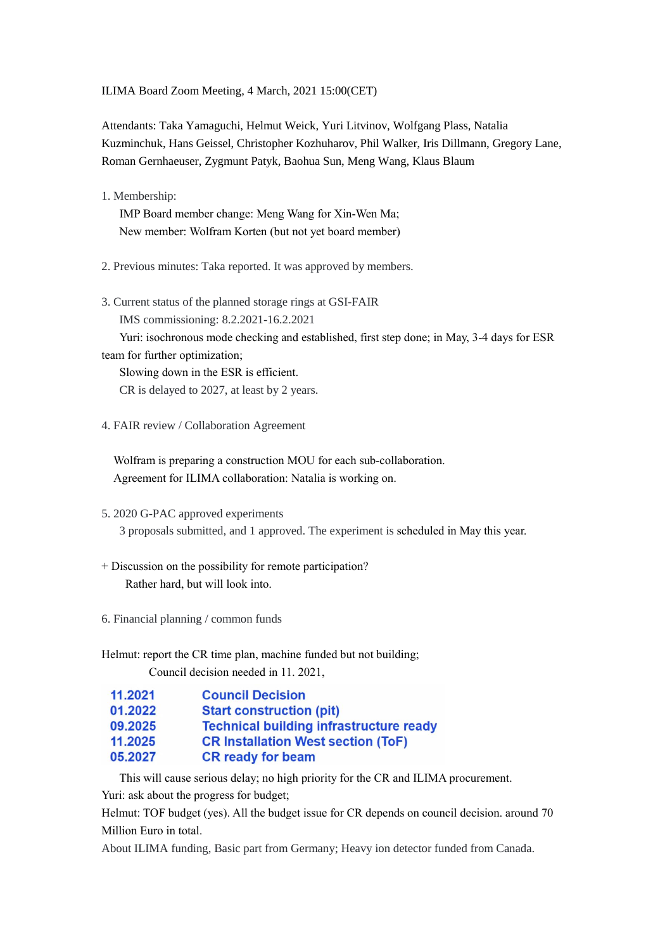ILIMA Board Zoom Meeting, 4 March, 2021 15:00(CET)

Attendants: Taka Yamaguchi, Helmut Weick, Yuri Litvinov, Wolfgang Plass, Natalia Kuzminchuk, Hans Geissel, Christopher Kozhuharov, Phil Walker, Iris Dillmann, Gregory Lane, Roman Gernhaeuser, Zygmunt Patyk, Baohua Sun, Meng Wang, Klaus Blaum

1. Membership:

 IMP Board member change: Meng Wang for Xin-Wen Ma; New member: Wolfram Korten (but not yet board member)

2. Previous minutes: Taka reported. It was approved by members.

3. Current status of the planned storage rings at GSI-FAIR IMS commissioning: 8.2.2021-16.2.2021

 Yuri: isochronous mode checking and established, first step done; in May, 3-4 days for ESR team for further optimization;

 Slowing down in the ESR is efficient. CR is delayed to 2027, at least by 2 years.

4. FAIR review / Collaboration Agreement

 Wolfram is preparing a construction MOU for each sub-collaboration. Agreement for ILIMA collaboration: Natalia is working on.

- 5. 2020 G-PAC approved experiments 3 proposals submitted, and 1 approved. The experiment is scheduled in May this year.
- + Discussion on the possibility for remote participation? Rather hard, but will look into.
- 6. Financial planning / common funds

Helmut: report the CR time plan, machine funded but not building; Council decision needed in 11. 2021,

| 11.2021 | <b>Council Decision</b>                        |
|---------|------------------------------------------------|
| 01.2022 | <b>Start construction (pit)</b>                |
| 09.2025 | <b>Technical building infrastructure ready</b> |
| 11.2025 | <b>CR Installation West section (ToF)</b>      |
| 05.2027 | <b>CR ready for beam</b>                       |

This will cause serious delay; no high priority for the CR and ILIMA procurement.

Yuri: ask about the progress for budget;

Helmut: TOF budget (yes). All the budget issue for CR depends on council decision. around 70 Million Euro in total.

About ILIMA funding, Basic part from Germany; Heavy ion detector funded from Canada.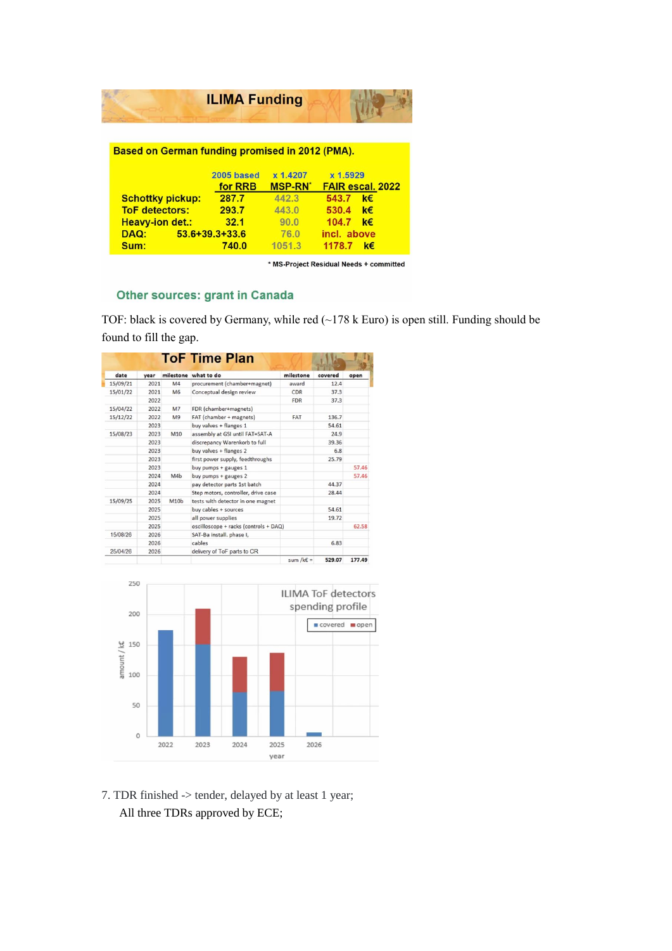|                                                 | <b>ILIMA Funding</b>  |                                       |                                         |  |  |  |  |  |  |
|-------------------------------------------------|-----------------------|---------------------------------------|-----------------------------------------|--|--|--|--|--|--|
| Based on German funding promised in 2012 (PMA). |                       |                                       |                                         |  |  |  |  |  |  |
|                                                 | 2005 based<br>for RRB | x 1.4207<br><b>MSP-RN<sup>*</sup></b> | x 1.5929<br><b>FAIR escal, 2022</b>     |  |  |  |  |  |  |
| <b>Schottky pickup:</b>                         | 287.7                 | 442.3                                 | 543.7 $k \in$                           |  |  |  |  |  |  |
| <b>ToF detectors:</b>                           | 293.7                 | 443.0                                 | 530.4 $k \in$                           |  |  |  |  |  |  |
| <b>Heavy-ion det.:</b>                          | 32.1                  | 90.0                                  | 104.7 $k \in$                           |  |  |  |  |  |  |
| $53.6 + 39.3 + 33.6$<br>DAQ:                    |                       | 76.0                                  | incl. above                             |  |  |  |  |  |  |
| Sum:                                            | 740.0                 | 1051.3                                | 1178.7 k€                               |  |  |  |  |  |  |
|                                                 |                       |                                       | * MS-Project Residual Needs + committed |  |  |  |  |  |  |

## Other sources: grant in Canada

TOF: black is covered by Germany, while red (~178 k Euro) is open still. Funding should be found to fill the gap.

| date     | year |                  | milestone what to do                  | milestone              | covered | open   |
|----------|------|------------------|---------------------------------------|------------------------|---------|--------|
| 15/09/21 | 2021 | M <sub>4</sub>   | procurement (chamber+magnet)          | award                  | 12.4    |        |
| 15/01/22 | 2021 | M6               | Conceptual design review              | CDR                    | 37.3    |        |
|          | 2022 |                  |                                       | <b>FDR</b>             | 37.3    |        |
| 15/04/22 | 2022 | M <sub>7</sub>   | FDR (chamber+magnets)                 |                        |         |        |
| 15/12/22 | 2022 | M <sub>9</sub>   | FAT (chamber + magnets)               | <b>FAT</b>             | 136.7   |        |
|          | 2023 |                  | buy valves + flanges 1                |                        | 54.61   |        |
| 15/08/23 | 2023 | M10              | assembly at GSI until FAT=SAT-A       |                        | 24.9    |        |
|          | 2023 |                  | discrepancy Warenkorb to full         |                        | 39.36   |        |
|          | 2023 |                  | buy valves + flanges 2                |                        | 6.8     |        |
|          | 2023 |                  | first power supply, feedthroughs      |                        | 25.79   |        |
|          | 2023 |                  | buy pumps + gauges 1                  |                        |         | 57.46  |
|          | 2024 | M4 <sub>b</sub>  | buy pumps + gauges 2                  |                        |         | 57.46  |
|          | 2024 |                  | pay detector parts 1st batch          |                        | 44.37   |        |
|          | 2024 |                  | Step motors, controller, drive case   |                        | 28.44   |        |
| 15/09/25 | 2025 | M10 <sub>b</sub> | tests with detector in one magnet     |                        |         |        |
|          | 2025 |                  | buy cables + sources                  |                        | 54.61   |        |
|          | 2025 |                  | all power supplies                    |                        | 19.72   |        |
|          | 2025 |                  | oscilloscope + racks (controls + DAQ) |                        |         | 62.58  |
| 15/08/26 | 2026 |                  | SAT-Ba install, phase I,              |                        |         |        |
|          | 2026 |                  | cables                                |                        | 6.83    |        |
| 25/04/26 | 2026 |                  | delivery of ToF parts to CR           |                        |         |        |
|          |      |                  |                                       | sum /k $\varepsilon$ = | 529.07  | 177.49 |



7. TDR finished -> tender, delayed by at least 1 year; All three TDRs approved by ECE;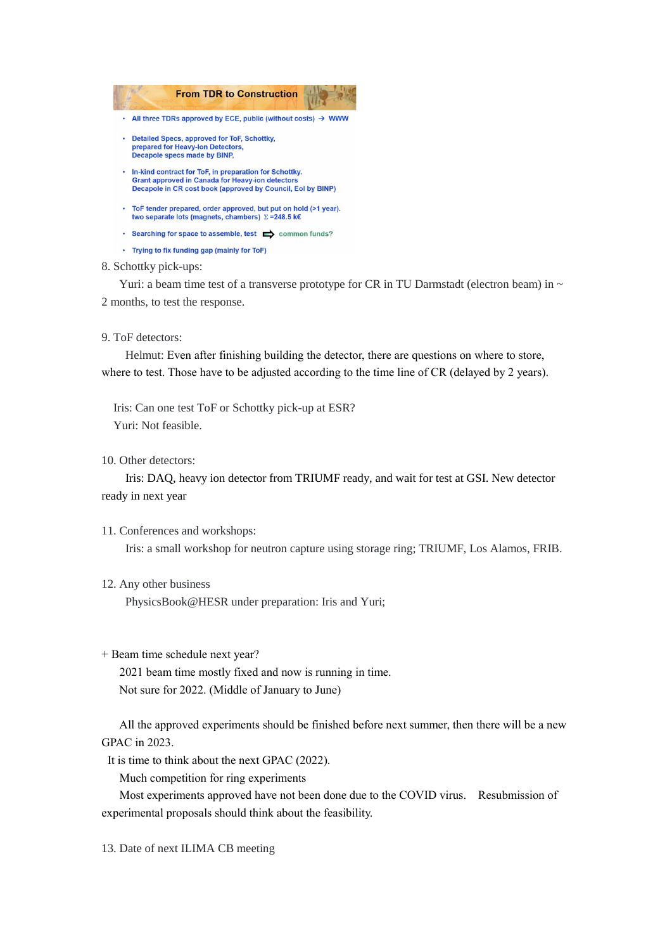

## 8. Schottky pick-ups:

Yuri: a beam time test of a transverse prototype for CR in TU Darmstadt (electron beam) in  $\sim$ 2 months, to test the response.

9. ToF detectors:

 Helmut: Even after finishing building the detector, there are questions on where to store, where to test. Those have to be adjusted according to the time line of CR (delayed by 2 years).

 Iris: Can one test ToF or Schottky pick-up at ESR? Yuri: Not feasible.

10. Other detectors:

 Iris: DAQ, heavy ion detector from TRIUMF ready, and wait for test at GSI. New detector ready in next year

11. Conferences and workshops:

Iris: a small workshop for neutron capture using storage ring; TRIUMF, Los Alamos, FRIB.

12. Any other business

PhysicsBook@HESR under preparation: Iris and Yuri;

+ Beam time schedule next year?

 2021 beam time mostly fixed and now is running in time. Not sure for 2022. (Middle of January to June)

 All the approved experiments should be finished before next summer, then there will be a new GPAC in 2023.

It is time to think about the next GPAC (2022).

Much competition for ring experiments

 Most experiments approved have not been done due to the COVID virus. Resubmission of experimental proposals should think about the feasibility.

13. Date of next ILIMA CB meeting